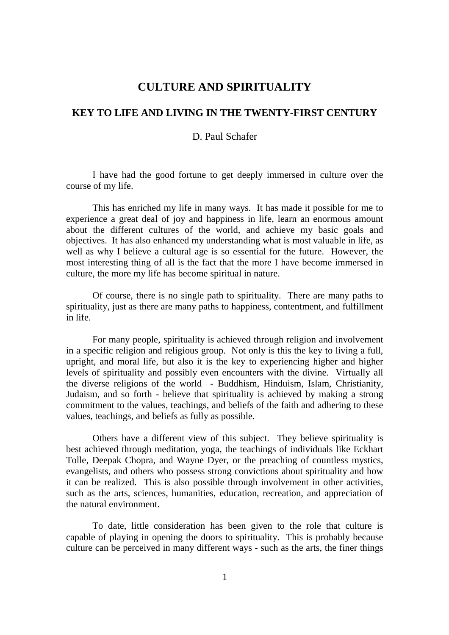## **CULTURE AND SPIRITUALITY**

## **KEY TO LIFE AND LIVING IN THE TWENTY-FIRST CENTURY**

## D. Paul Schafer

I have had the good fortune to get deeply immersed in culture over the course of my life.

This has enriched my life in many ways. It has made it possible for me to experience a great deal of joy and happiness in life, learn an enormous amount about the different cultures of the world, and achieve my basic goals and objectives. It has also enhanced my understanding what is most valuable in life, as well as why I believe a cultural age is so essential for the future. However, the most interesting thing of all is the fact that the more I have become immersed in culture, the more my life has become spiritual in nature.

Of course, there is no single path to spirituality. There are many paths to spirituality, just as there are many paths to happiness, contentment, and fulfillment in life.

For many people, spirituality is achieved through religion and involvement in a specific religion and religious group. Not only is this the key to living a full, upright, and moral life, but also it is the key to experiencing higher and higher levels of spirituality and possibly even encounters with the divine. Virtually all the diverse religions of the world - Buddhism, Hinduism, Islam, Christianity, Judaism, and so forth - believe that spirituality is achieved by making a strong commitment to the values, teachings, and beliefs of the faith and adhering to these values, teachings, and beliefs as fully as possible.

Others have a different view of this subject. They believe spirituality is best achieved through meditation, yoga, the teachings of individuals like Eckhart Tolle, Deepak Chopra, and Wayne Dyer, or the preaching of countless mystics, evangelists, and others who possess strong convictions about spirituality and how it can be realized. This is also possible through involvement in other activities, such as the arts, sciences, humanities, education, recreation, and appreciation of the natural environment.

To date, little consideration has been given to the role that culture is capable of playing in opening the doors to spirituality. This is probably because culture can be perceived in many different ways - such as the arts, the finer things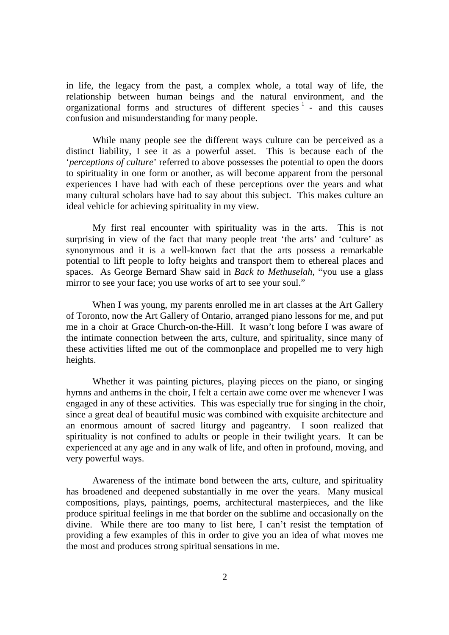in life, the legacy from the past, a complex whole, a total way of life, the relationship between human beings and the natural environment, and the organizational forms and structures of different species  $1$  - and this causes confusion and misunderstanding for many people.

While many people see the different ways culture can be perceived as a distinct liability, I see it as a powerful asset. This is because each of the '*perceptions of culture*' referred to above possesses the potential to open the doors to spirituality in one form or another, as will become apparent from the personal experiences I have had with each of these perceptions over the years and what many cultural scholars have had to say about this subject. This makes culture an ideal vehicle for achieving spirituality in my view.

My first real encounter with spirituality was in the arts. This is not surprising in view of the fact that many people treat 'the arts' and 'culture' as synonymous and it is a well-known fact that the arts possess a remarkable potential to lift people to lofty heights and transport them to ethereal places and spaces. As George Bernard Shaw said in *Back to Methuselah*, "you use a glass mirror to see your face; you use works of art to see your soul."

When I was young, my parents enrolled me in art classes at the Art Gallery of Toronto, now the Art Gallery of Ontario, arranged piano lessons for me, and put me in a choir at Grace Church-on-the-Hill. It wasn't long before I was aware of the intimate connection between the arts, culture, and spirituality, since many of these activities lifted me out of the commonplace and propelled me to very high heights.

Whether it was painting pictures, playing pieces on the piano, or singing hymns and anthems in the choir, I felt a certain awe come over me whenever I was engaged in any of these activities. This was especially true for singing in the choir, since a great deal of beautiful music was combined with exquisite architecture and an enormous amount of sacred liturgy and pageantry. I soon realized that spirituality is not confined to adults or people in their twilight years. It can be experienced at any age and in any walk of life, and often in profound, moving, and very powerful ways.

Awareness of the intimate bond between the arts, culture, and spirituality has broadened and deepened substantially in me over the years. Many musical compositions, plays, paintings, poems, architectural masterpieces, and the like produce spiritual feelings in me that border on the sublime and occasionally on the divine. While there are too many to list here, I can't resist the temptation of providing a few examples of this in order to give you an idea of what moves me the most and produces strong spiritual sensations in me.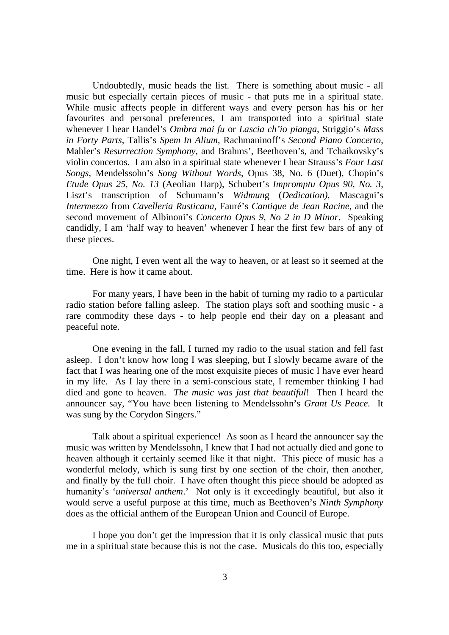Undoubtedly, music heads the list. There is something about music - all music but especially certain pieces of music - that puts me in a spiritual state. While music affects people in different ways and every person has his or her favourites and personal preferences, I am transported into a spiritual state whenever I hear Handel's *Ombra mai fu* or *Lascia ch'io pianga*, Striggio's *Mass in Forty Parts*, Tallis's *Spem In Alium*, Rachmaninoff's *Second Piano Concerto*, Mahler's *Resurrection Symphony,* and Brahms', Beethoven's, and Tchaikovsky's violin concertos. I am also in a spiritual state whenever I hear Strauss's *Four Last Songs*, Mendelssohn's *Song Without Words*, Opus 38, No. 6 (Duet), Chopin's *Etude Opus 25, No. 13* (Aeolian Harp), Schubert's *Impromptu Opus 90, No. 3*, Liszt's transcription of Schumann's *Widmun*g (*Dedication)*, Mascagni's *Intermezzo* from *Cavelleria Rusticana*, Fauré's *Cantique de Jean Racine*, and the second movement of Albinoni's *Concerto Opus 9, No 2 in D Minor*. Speaking candidly, I am 'half way to heaven' whenever I hear the first few bars of any of these pieces.

One night, I even went all the way to heaven, or at least so it seemed at the time. Here is how it came about.

For many years, I have been in the habit of turning my radio to a particular radio station before falling asleep. The station plays soft and soothing music - a rare commodity these days - to help people end their day on a pleasant and peaceful note.

One evening in the fall, I turned my radio to the usual station and fell fast asleep. I don't know how long I was sleeping, but I slowly became aware of the fact that I was hearing one of the most exquisite pieces of music I have ever heard in my life. As I lay there in a semi-conscious state, I remember thinking I had died and gone to heaven. *The music was just that beautiful*! Then I heard the announcer say, "You have been listening to Mendelssohn's *Grant Us Peace.* It was sung by the Corydon Singers."

Talk about a spiritual experience! As soon as I heard the announcer say the music was written by Mendelssohn, I knew that I had not actually died and gone to heaven although it certainly seemed like it that night. This piece of music has a wonderful melody, which is sung first by one section of the choir, then another, and finally by the full choir. I have often thought this piece should be adopted as humanity's '*universal anthem*.' Not only is it exceedingly beautiful, but also it would serve a useful purpose at this time, much as Beethoven's *Ninth Symphony* does as the official anthem of the European Union and Council of Europe.

I hope you don't get the impression that it is only classical music that puts me in a spiritual state because this is not the case. Musicals do this too, especially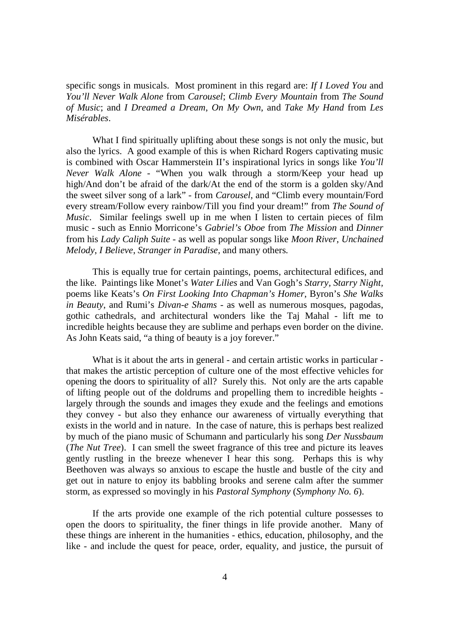specific songs in musicals. Most prominent in this regard are: *If I Loved You* and *You'll Never Walk Alone* from *Carousel*; *Climb Every Mountain* from *The Sound of Music*; and *I Dreamed a Dream*, *On My Own*, and *Take My Hand* from *Les Misérables*.

What I find spiritually uplifting about these songs is not only the music, but also the lyrics. A good example of this is when Richard Rogers captivating music is combined with Oscar Hammerstein II's inspirational lyrics in songs like *You'll Never Walk Alone* - "When you walk through a storm/Keep your head up high/And don't be afraid of the dark/At the end of the storm is a golden sky/And the sweet silver song of a lark" - from *Carousel*, and "Climb every mountain/Ford every stream/Follow every rainbow/Till you find your dream!" from *The Sound of Music*. Similar feelings swell up in me when I listen to certain pieces of film music - such as Ennio Morricone's *Gabriel's Oboe* from *The Mission* and *Dinner* from his *Lady Caliph Suite -* as well as popular songs like *Moon River*, *Unchained Melody*, *I Believe*, *Stranger in Paradise*, and many others*.*

This is equally true for certain paintings, poems, architectural edifices, and the like. Paintings like Monet's *Water Lilies* and Van Gogh's *Starry, Starry Night,* poems like Keats's *On First Looking Into Chapman's Homer*, Byron's *She Walks in Beauty*, and Rumi's *Divan-e Shams -* as well as numerous mosques, pagodas, gothic cathedrals, and architectural wonders like the Taj Mahal - lift me to incredible heights because they are sublime and perhaps even border on the divine. As John Keats said, "a thing of beauty is a joy forever."

What is it about the arts in general - and certain artistic works in particular that makes the artistic perception of culture one of the most effective vehicles for opening the doors to spirituality of all? Surely this. Not only are the arts capable of lifting people out of the doldrums and propelling them to incredible heights largely through the sounds and images they exude and the feelings and emotions they convey - but also they enhance our awareness of virtually everything that exists in the world and in nature. In the case of nature, this is perhaps best realized by much of the piano music of Schumann and particularly his song *Der Nussbaum* (*The Nut Tree*). I can smell the sweet fragrance of this tree and picture its leaves gently rustling in the breeze whenever I hear this song. Perhaps this is why Beethoven was always so anxious to escape the hustle and bustle of the city and get out in nature to enjoy its babbling brooks and serene calm after the summer storm, as expressed so movingly in his *Pastoral Symphony* (*Symphony No. 6*).

If the arts provide one example of the rich potential culture possesses to open the doors to spirituality, the finer things in life provide another. Many of these things are inherent in the humanities - ethics, education, philosophy, and the like - and include the quest for peace, order, equality, and justice, the pursuit of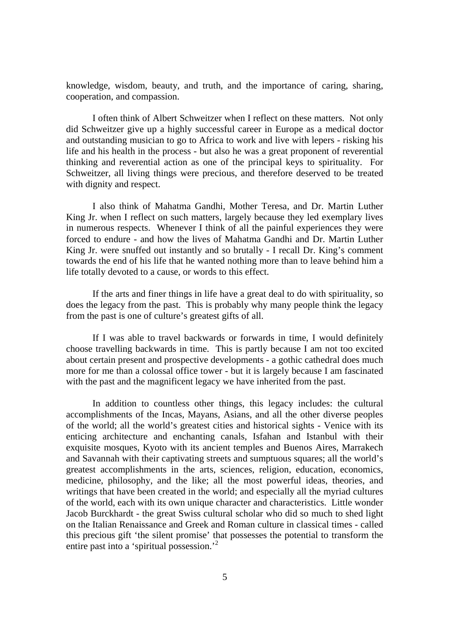knowledge, wisdom, beauty, and truth, and the importance of caring, sharing, cooperation, and compassion.

I often think of Albert Schweitzer when I reflect on these matters. Not only did Schweitzer give up a highly successful career in Europe as a medical doctor and outstanding musician to go to Africa to work and live with lepers - risking his life and his health in the process - but also he was a great proponent of reverential thinking and reverential action as one of the principal keys to spirituality. For Schweitzer, all living things were precious, and therefore deserved to be treated with dignity and respect.

I also think of Mahatma Gandhi, Mother Teresa, and Dr. Martin Luther King Jr. when I reflect on such matters, largely because they led exemplary lives in numerous respects. Whenever I think of all the painful experiences they were forced to endure - and how the lives of Mahatma Gandhi and Dr. Martin Luther King Jr. were snuffed out instantly and so brutally - I recall Dr. King's comment towards the end of his life that he wanted nothing more than to leave behind him a life totally devoted to a cause, or words to this effect.

If the arts and finer things in life have a great deal to do with spirituality, so does the legacy from the past. This is probably why many people think the legacy from the past is one of culture's greatest gifts of all.

If I was able to travel backwards or forwards in time, I would definitely choose travelling backwards in time. This is partly because I am not too excited about certain present and prospective developments - a gothic cathedral does much more for me than a colossal office tower - but it is largely because I am fascinated with the past and the magnificent legacy we have inherited from the past.

In addition to countless other things, this legacy includes: the cultural accomplishments of the Incas, Mayans, Asians, and all the other diverse peoples of the world; all the world's greatest cities and historical sights - Venice with its enticing architecture and enchanting canals, Isfahan and Istanbul with their exquisite mosques, Kyoto with its ancient temples and Buenos Aires, Marrakech and Savannah with their captivating streets and sumptuous squares; all the world's greatest accomplishments in the arts, sciences, religion, education, economics, medicine, philosophy, and the like; all the most powerful ideas, theories, and writings that have been created in the world; and especially all the myriad cultures of the world, each with its own unique character and characteristics. Little wonder Jacob Burckhardt - the great Swiss cultural scholar who did so much to shed light on the Italian Renaissance and Greek and Roman culture in classical times - called this precious gift 'the silent promise' that possesses the potential to transform the entire past into a 'spiritual possession.<sup>2</sup>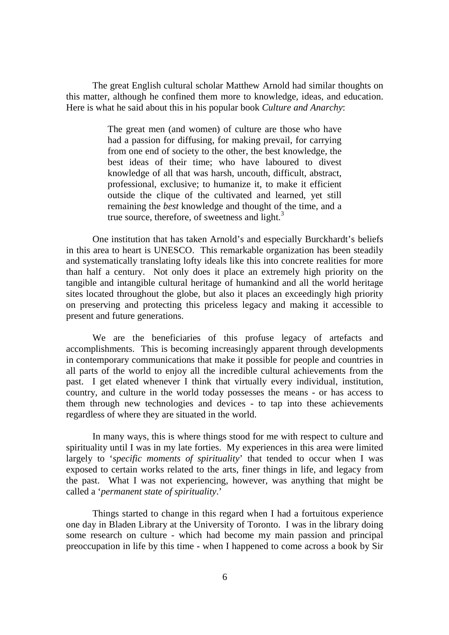The great English cultural scholar Matthew Arnold had similar thoughts on this matter, although he confined them more to knowledge, ideas, and education. Here is what he said about this in his popular book *Culture and Anarchy*:

> The great men (and women) of culture are those who have had a passion for diffusing, for making prevail, for carrying from one end of society to the other, the best knowledge, the best ideas of their time; who have laboured to divest knowledge of all that was harsh, uncouth, difficult, abstract, professional, exclusive; to humanize it, to make it efficient outside the clique of the cultivated and learned, yet still remaining the *best* knowledge and thought of the time, and a true source, therefore, of sweetness and light. $3$

One institution that has taken Arnold's and especially Burckhardt's beliefs in this area to heart is UNESCO. This remarkable organization has been steadily and systematically translating lofty ideals like this into concrete realities for more than half a century. Not only does it place an extremely high priority on the tangible and intangible cultural heritage of humankind and all the world heritage sites located throughout the globe, but also it places an exceedingly high priority on preserving and protecting this priceless legacy and making it accessible to present and future generations.

We are the beneficiaries of this profuse legacy of artefacts and accomplishments. This is becoming increasingly apparent through developments in contemporary communications that make it possible for people and countries in all parts of the world to enjoy all the incredible cultural achievements from the past. I get elated whenever I think that virtually every individual, institution, country, and culture in the world today possesses the means - or has access to them through new technologies and devices - to tap into these achievements regardless of where they are situated in the world.

In many ways, this is where things stood for me with respect to culture and spirituality until I was in my late forties. My experiences in this area were limited largely to '*specific moments of spirituality*' that tended to occur when I was exposed to certain works related to the arts, finer things in life, and legacy from the past. What I was not experiencing, however, was anything that might be called a '*permanent state of spirituality*.'

Things started to change in this regard when I had a fortuitous experience one day in Bladen Library at the University of Toronto. I was in the library doing some research on culture - which had become my main passion and principal preoccupation in life by this time - when I happened to come across a book by Sir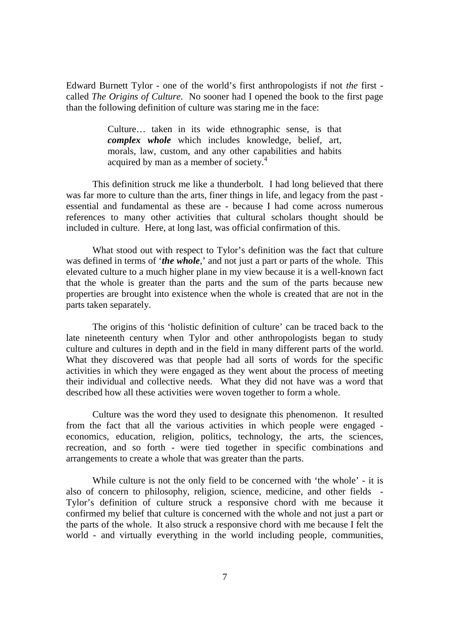Edward Burnett Tylor - one of the world's first anthropologists if not *the* first called *The Origins of Culture*. No sooner had I opened the book to the first page than the following definition of culture was staring me in the face:

> Culture… taken in its wide ethnographic sense, is that *complex whole* which includes knowledge, belief, art, morals, law, custom, and any other capabilities and habits acquired by man as a member of society. $4$

This definition struck me like a thunderbolt. I had long believed that there was far more to culture than the arts, finer things in life, and legacy from the past essential and fundamental as these are - because I had come across numerous references to many other activities that cultural scholars thought should be included in culture. Here, at long last, was official confirmation of this.

What stood out with respect to Tylor's definition was the fact that culture was defined in terms of '*the whole*,' and not just a part or parts of the whole. This elevated culture to a much higher plane in my view because it is a well-known fact that the whole is greater than the parts and the sum of the parts because new properties are brought into existence when the whole is created that are not in the parts taken separately.

The origins of this 'holistic definition of culture' can be traced back to the late nineteenth century when Tylor and other anthropologists began to study culture and cultures in depth and in the field in many different parts of the world. What they discovered was that people had all sorts of words for the specific activities in which they were engaged as they went about the process of meeting their individual and collective needs. What they did not have was a word that described how all these activities were woven together to form a whole.

Culture was the word they used to designate this phenomenon. It resulted from the fact that all the various activities in which people were engaged economics, education, religion, politics, technology, the arts, the sciences, recreation, and so forth - were tied together in specific combinations and arrangements to create a whole that was greater than the parts.

While culture is not the only field to be concerned with 'the whole' - it is also of concern to philosophy, religion, science, medicine, and other fields - Tylor's definition of culture struck a responsive chord with me because it confirmed my belief that culture is concerned with the whole and not just a part or the parts of the whole. It also struck a responsive chord with me because I felt the world - and virtually everything in the world including people, communities,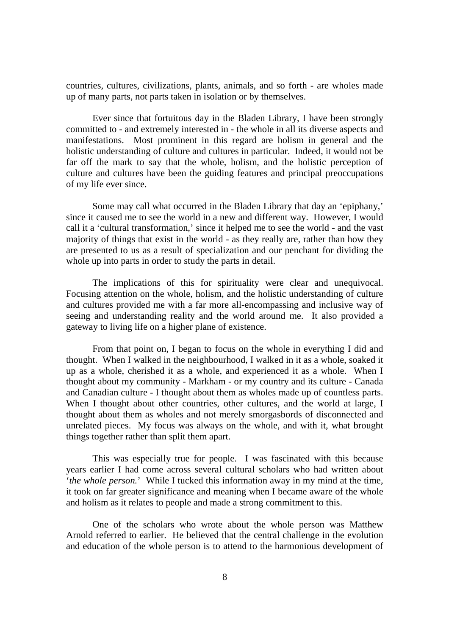countries, cultures, civilizations, plants, animals, and so forth - are wholes made up of many parts, not parts taken in isolation or by themselves.

Ever since that fortuitous day in the Bladen Library, I have been strongly committed to - and extremely interested in - the whole in all its diverse aspects and manifestations. Most prominent in this regard are holism in general and the holistic understanding of culture and cultures in particular. Indeed, it would not be far off the mark to say that the whole, holism, and the holistic perception of culture and cultures have been the guiding features and principal preoccupations of my life ever since.

Some may call what occurred in the Bladen Library that day an 'epiphany,' since it caused me to see the world in a new and different way. However, I would call it a 'cultural transformation,' since it helped me to see the world - and the vast majority of things that exist in the world - as they really are, rather than how they are presented to us as a result of specialization and our penchant for dividing the whole up into parts in order to study the parts in detail.

The implications of this for spirituality were clear and unequivocal. Focusing attention on the whole, holism, and the holistic understanding of culture and cultures provided me with a far more all-encompassing and inclusive way of seeing and understanding reality and the world around me. It also provided a gateway to living life on a higher plane of existence.

From that point on, I began to focus on the whole in everything I did and thought. When I walked in the neighbourhood, I walked in it as a whole, soaked it up as a whole, cherished it as a whole, and experienced it as a whole. When I thought about my community - Markham - or my country and its culture - Canada and Canadian culture - I thought about them as wholes made up of countless parts. When I thought about other countries, other cultures, and the world at large, I thought about them as wholes and not merely smorgasbords of disconnected and unrelated pieces. My focus was always on the whole, and with it, what brought things together rather than split them apart.

This was especially true for people. I was fascinated with this because years earlier I had come across several cultural scholars who had written about '*the whole person.*' While I tucked this information away in my mind at the time, it took on far greater significance and meaning when I became aware of the whole and holism as it relates to people and made a strong commitment to this.

One of the scholars who wrote about the whole person was Matthew Arnold referred to earlier. He believed that the central challenge in the evolution and education of the whole person is to attend to the harmonious development of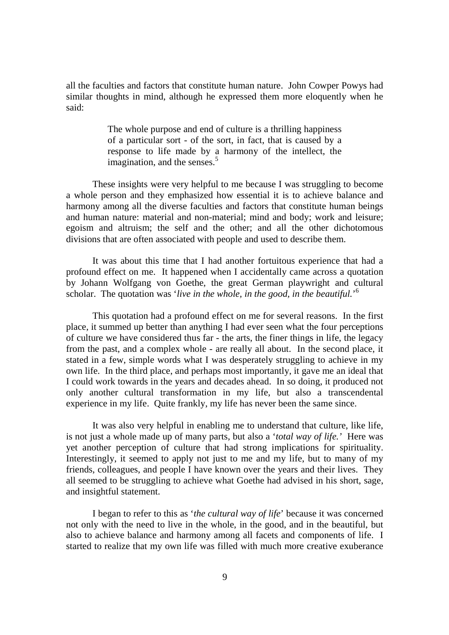all the faculties and factors that constitute human nature. John Cowper Powys had similar thoughts in mind, although he expressed them more eloquently when he said:

> The whole purpose and end of culture is a thrilling happiness of a particular sort - of the sort, in fact, that is caused by a response to life made by a harmony of the intellect, the imagination, and the senses. $5$

These insights were very helpful to me because I was struggling to become a whole person and they emphasized how essential it is to achieve balance and harmony among all the diverse faculties and factors that constitute human beings and human nature: material and non-material; mind and body; work and leisure; egoism and altruism; the self and the other; and all the other dichotomous divisions that are often associated with people and used to describe them.

It was about this time that I had another fortuitous experience that had a profound effect on me. It happened when I accidentally came across a quotation by Johann Wolfgang von Goethe, the great German playwright and cultural scholar. The quotation was '*live in the whole, in the good, in the beautiful.*' 6

This quotation had a profound effect on me for several reasons. In the first place, it summed up better than anything I had ever seen what the four perceptions of culture we have considered thus far - the arts, the finer things in life, the legacy from the past, and a complex whole - are really all about. In the second place, it stated in a few, simple words what I was desperately struggling to achieve in my own life. In the third place, and perhaps most importantly, it gave me an ideal that I could work towards in the years and decades ahead. In so doing, it produced not only another cultural transformation in my life, but also a transcendental experience in my life. Quite frankly, my life has never been the same since.

It was also very helpful in enabling me to understand that culture, like life, is not just a whole made up of many parts, but also a '*total way of life.'* Here was yet another perception of culture that had strong implications for spirituality. Interestingly, it seemed to apply not just to me and my life, but to many of my friends, colleagues, and people I have known over the years and their lives. They all seemed to be struggling to achieve what Goethe had advised in his short, sage, and insightful statement.

I began to refer to this as '*the cultural way of life*' because it was concerned not only with the need to live in the whole, in the good, and in the beautiful, but also to achieve balance and harmony among all facets and components of life. I started to realize that my own life was filled with much more creative exuberance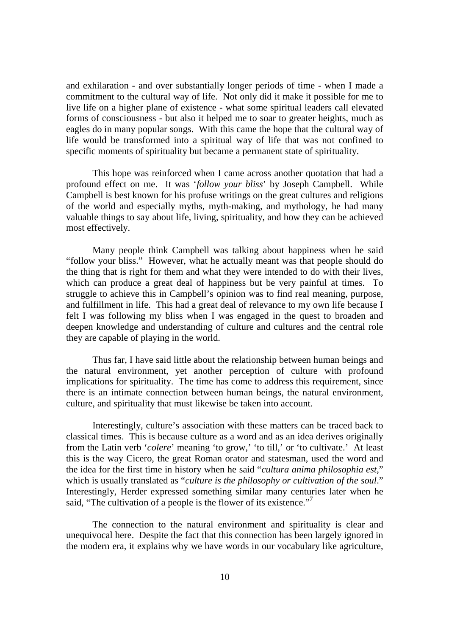and exhilaration - and over substantially longer periods of time - when I made a commitment to the cultural way of life. Not only did it make it possible for me to live life on a higher plane of existence - what some spiritual leaders call elevated forms of consciousness - but also it helped me to soar to greater heights, much as eagles do in many popular songs. With this came the hope that the cultural way of life would be transformed into a spiritual way of life that was not confined to specific moments of spirituality but became a permanent state of spirituality.

This hope was reinforced when I came across another quotation that had a profound effect on me. It was '*follow your bliss*' by Joseph Campbell. While Campbell is best known for his profuse writings on the great cultures and religions of the world and especially myths, myth-making, and mythology, he had many valuable things to say about life, living, spirituality, and how they can be achieved most effectively.

Many people think Campbell was talking about happiness when he said "follow your bliss." However, what he actually meant was that people should do the thing that is right for them and what they were intended to do with their lives, which can produce a great deal of happiness but be very painful at times. To struggle to achieve this in Campbell's opinion was to find real meaning, purpose, and fulfillment in life. This had a great deal of relevance to my own life because I felt I was following my bliss when I was engaged in the quest to broaden and deepen knowledge and understanding of culture and cultures and the central role they are capable of playing in the world.

Thus far, I have said little about the relationship between human beings and the natural environment, yet another perception of culture with profound implications for spirituality. The time has come to address this requirement, since there is an intimate connection between human beings, the natural environment, culture, and spirituality that must likewise be taken into account.

Interestingly, culture's association with these matters can be traced back to classical times. This is because culture as a word and as an idea derives originally from the Latin verb '*colere*' meaning 'to grow,' 'to till,' or 'to cultivate.' At least this is the way Cicero, the great Roman orator and statesman, used the word and the idea for the first time in history when he said "*cultura anima philosophia est*," which is usually translated as "*culture is the philosophy or cultivation of the soul*." Interestingly, Herder expressed something similar many centuries later when he said, "The cultivation of a people is the flower of its existence."

The connection to the natural environment and spirituality is clear and unequivocal here. Despite the fact that this connection has been largely ignored in the modern era, it explains why we have words in our vocabulary like agriculture,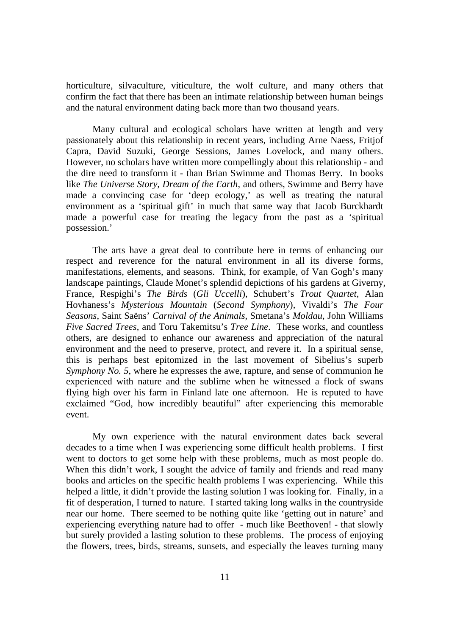horticulture, silvaculture, viticulture, the wolf culture, and many others that confirm the fact that there has been an intimate relationship between human beings and the natural environment dating back more than two thousand years.

Many cultural and ecological scholars have written at length and very passionately about this relationship in recent years, including Arne Naess, Fritjof Capra, David Suzuki, George Sessions, James Lovelock, and many others. However, no scholars have written more compellingly about this relationship - and the dire need to transform it - than Brian Swimme and Thomas Berry. In books like *The Universe Story, Dream of the Earth*, and others, Swimme and Berry have made a convincing case for 'deep ecology,' as well as treating the natural environment as a 'spiritual gift' in much that same way that Jacob Burckhardt made a powerful case for treating the legacy from the past as a 'spiritual possession.'

The arts have a great deal to contribute here in terms of enhancing our respect and reverence for the natural environment in all its diverse forms, manifestations, elements, and seasons. Think, for example, of Van Gogh's many landscape paintings, Claude Monet's splendid depictions of his gardens at Giverny, France, Respighi's *The Birds* (*Gli Uccelli*), Schubert's *Trout Quartet*, Alan Hovhaness's *Mysterious Mountain* (*Second Symphony*), Vivaldi's *The Four Seasons*, Saint Saëns' *Carnival of the Animals*, Smetana's *Moldau*, John Williams *Five Sacred Trees*, and Toru Takemitsu's *Tree Line*. These works, and countless others, are designed to enhance our awareness and appreciation of the natural environment and the need to preserve, protect, and revere it. In a spiritual sense, this is perhaps best epitomized in the last movement of Sibelius's superb *Symphony No. 5*, where he expresses the awe, rapture, and sense of communion he experienced with nature and the sublime when he witnessed a flock of swans flying high over his farm in Finland late one afternoon. He is reputed to have exclaimed "God, how incredibly beautiful" after experiencing this memorable event.

My own experience with the natural environment dates back several decades to a time when I was experiencing some difficult health problems. I first went to doctors to get some help with these problems, much as most people do. When this didn't work, I sought the advice of family and friends and read many books and articles on the specific health problems I was experiencing. While this helped a little, it didn't provide the lasting solution I was looking for. Finally, in a fit of desperation, I turned to nature. I started taking long walks in the countryside near our home. There seemed to be nothing quite like 'getting out in nature' and experiencing everything nature had to offer - much like Beethoven! - that slowly but surely provided a lasting solution to these problems. The process of enjoying the flowers, trees, birds, streams, sunsets, and especially the leaves turning many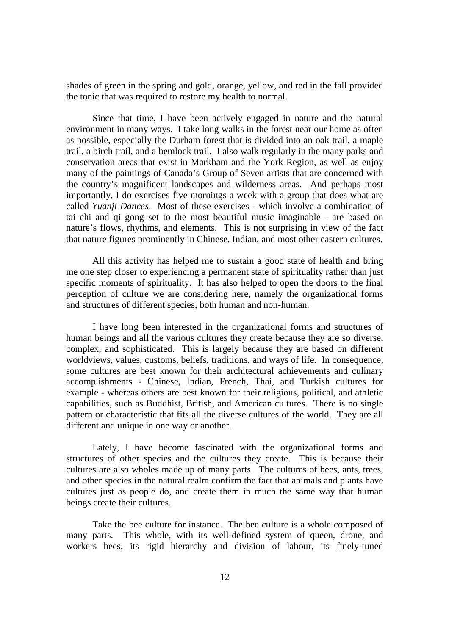shades of green in the spring and gold, orange, yellow, and red in the fall provided the tonic that was required to restore my health to normal.

Since that time, I have been actively engaged in nature and the natural environment in many ways. I take long walks in the forest near our home as often as possible, especially the Durham forest that is divided into an oak trail, a maple trail, a birch trail, and a hemlock trail. I also walk regularly in the many parks and conservation areas that exist in Markham and the York Region, as well as enjoy many of the paintings of Canada's Group of Seven artists that are concerned with the country's magnificent landscapes and wilderness areas. And perhaps most importantly, I do exercises five mornings a week with a group that does what are called *Yuanji Dances*. Most of these exercises - which involve a combination of tai chi and qi gong set to the most beautiful music imaginable - are based on nature's flows, rhythms, and elements. This is not surprising in view of the fact that nature figures prominently in Chinese, Indian, and most other eastern cultures.

All this activity has helped me to sustain a good state of health and bring me one step closer to experiencing a permanent state of spirituality rather than just specific moments of spirituality. It has also helped to open the doors to the final perception of culture we are considering here, namely the organizational forms and structures of different species, both human and non-human.

I have long been interested in the organizational forms and structures of human beings and all the various cultures they create because they are so diverse, complex, and sophisticated. This is largely because they are based on different worldviews, values, customs, beliefs, traditions, and ways of life. In consequence, some cultures are best known for their architectural achievements and culinary accomplishments - Chinese, Indian, French, Thai, and Turkish cultures for example - whereas others are best known for their religious, political, and athletic capabilities, such as Buddhist, British, and American cultures. There is no single pattern or characteristic that fits all the diverse cultures of the world. They are all different and unique in one way or another.

Lately, I have become fascinated with the organizational forms and structures of other species and the cultures they create. This is because their cultures are also wholes made up of many parts. The cultures of bees, ants, trees, and other species in the natural realm confirm the fact that animals and plants have cultures just as people do, and create them in much the same way that human beings create their cultures.

Take the bee culture for instance. The bee culture is a whole composed of many parts. This whole, with its well-defined system of queen, drone, and workers bees, its rigid hierarchy and division of labour, its finely-tuned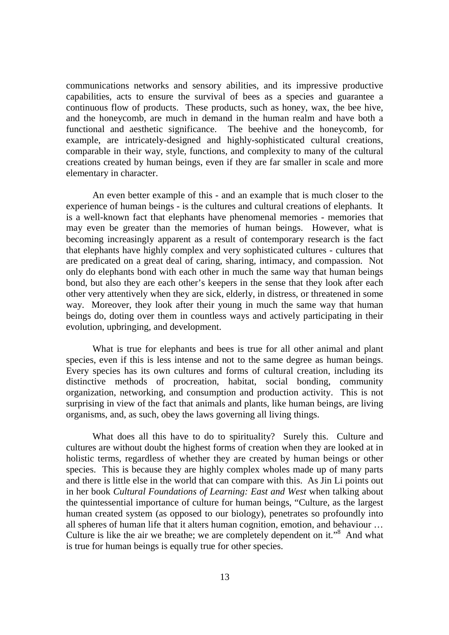communications networks and sensory abilities, and its impressive productive capabilities, acts to ensure the survival of bees as a species and guarantee a continuous flow of products. These products, such as honey, wax, the bee hive, and the honeycomb, are much in demand in the human realm and have both a functional and aesthetic significance. The beehive and the honeycomb, for example, are intricately-designed and highly-sophisticated cultural creations, comparable in their way, style, functions, and complexity to many of the cultural creations created by human beings, even if they are far smaller in scale and more elementary in character.

An even better example of this - and an example that is much closer to the experience of human beings - is the cultures and cultural creations of elephants. It is a well-known fact that elephants have phenomenal memories - memories that may even be greater than the memories of human beings. However, what is becoming increasingly apparent as a result of contemporary research is the fact that elephants have highly complex and very sophisticated cultures - cultures that are predicated on a great deal of caring, sharing, intimacy, and compassion. Not only do elephants bond with each other in much the same way that human beings bond, but also they are each other's keepers in the sense that they look after each other very attentively when they are sick, elderly, in distress, or threatened in some way. Moreover, they look after their young in much the same way that human beings do, doting over them in countless ways and actively participating in their evolution, upbringing, and development.

What is true for elephants and bees is true for all other animal and plant species, even if this is less intense and not to the same degree as human beings. Every species has its own cultures and forms of cultural creation, including its distinctive methods of procreation, habitat, social bonding, community organization, networking, and consumption and production activity. This is not surprising in view of the fact that animals and plants, like human beings, are living organisms, and, as such, obey the laws governing all living things.

What does all this have to do to spirituality? Surely this. Culture and cultures are without doubt the highest forms of creation when they are looked at in holistic terms, regardless of whether they are created by human beings or other species. This is because they are highly complex wholes made up of many parts and there is little else in the world that can compare with this. As Jin Li points out in her book *Cultural Foundations of Learning: East and West* when talking about the quintessential importance of culture for human beings, "Culture, as the largest human created system (as opposed to our biology), penetrates so profoundly into all spheres of human life that it alters human cognition, emotion, and behaviour … Culture is like the air we breathe; we are completely dependent on it."<sup>8</sup> And what is true for human beings is equally true for other species.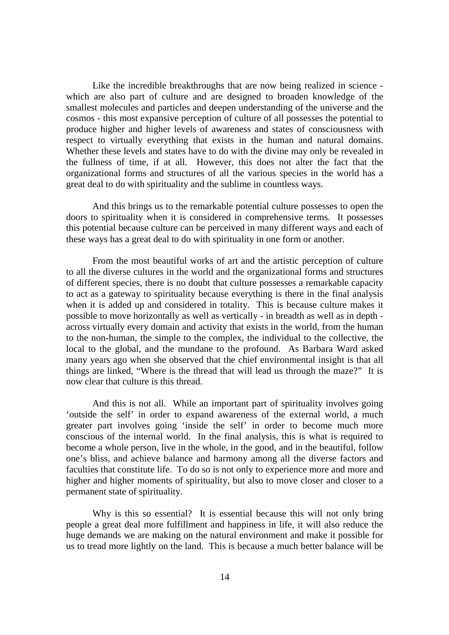Like the incredible breakthroughs that are now being realized in science which are also part of culture and are designed to broaden knowledge of the smallest molecules and particles and deepen understanding of the universe and the cosmos - this most expansive perception of culture of all possesses the potential to produce higher and higher levels of awareness and states of consciousness with respect to virtually everything that exists in the human and natural domains. Whether these levels and states have to do with the divine may only be revealed in the fullness of time, if at all. However, this does not alter the fact that the organizational forms and structures of all the various species in the world has a great deal to do with spirituality and the sublime in countless ways.

And this brings us to the remarkable potential culture possesses to open the doors to spirituality when it is considered in comprehensive terms. It possesses this potential because culture can be perceived in many different ways and each of these ways has a great deal to do with spirituality in one form or another.

From the most beautiful works of art and the artistic perception of culture to all the diverse cultures in the world and the organizational forms and structures of different species, there is no doubt that culture possesses a remarkable capacity to act as a gateway to spirituality because everything is there in the final analysis when it is added up and considered in totality. This is because culture makes it possible to move horizontally as well as vertically - in breadth as well as in depth across virtually every domain and activity that exists in the world, from the human to the non-human, the simple to the complex, the individual to the collective, the local to the global, and the mundane to the profound. As Barbara Ward asked many years ago when she observed that the chief environmental insight is that all things are linked, "Where is the thread that will lead us through the maze?" It is now clear that culture is this thread.

And this is not all. While an important part of spirituality involves going 'outside the self' in order to expand awareness of the external world, a much greater part involves going 'inside the self' in order to become much more conscious of the internal world. In the final analysis, this is what is required to become a whole person, live in the whole, in the good, and in the beautiful, follow one's bliss, and achieve balance and harmony among all the diverse factors and faculties that constitute life. To do so is not only to experience more and more and higher and higher moments of spirituality, but also to move closer and closer to a permanent state of spirituality.

Why is this so essential? It is essential because this will not only bring people a great deal more fulfillment and happiness in life, it will also reduce the huge demands we are making on the natural environment and make it possible for us to tread more lightly on the land. This is because a much better balance will be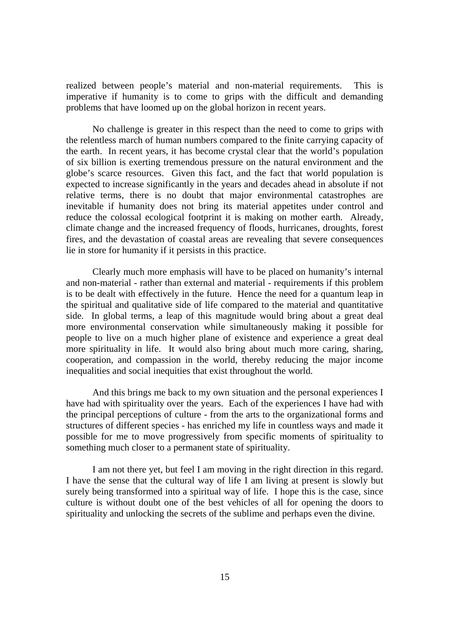realized between people's material and non-material requirements. This is imperative if humanity is to come to grips with the difficult and demanding problems that have loomed up on the global horizon in recent years.

No challenge is greater in this respect than the need to come to grips with the relentless march of human numbers compared to the finite carrying capacity of the earth. In recent years, it has become crystal clear that the world's population of six billion is exerting tremendous pressure on the natural environment and the globe's scarce resources. Given this fact, and the fact that world population is expected to increase significantly in the years and decades ahead in absolute if not relative terms, there is no doubt that major environmental catastrophes are inevitable if humanity does not bring its material appetites under control and reduce the colossal ecological footprint it is making on mother earth. Already, climate change and the increased frequency of floods, hurricanes, droughts, forest fires, and the devastation of coastal areas are revealing that severe consequences lie in store for humanity if it persists in this practice.

Clearly much more emphasis will have to be placed on humanity's internal and non-material - rather than external and material - requirements if this problem is to be dealt with effectively in the future. Hence the need for a quantum leap in the spiritual and qualitative side of life compared to the material and quantitative side. In global terms, a leap of this magnitude would bring about a great deal more environmental conservation while simultaneously making it possible for people to live on a much higher plane of existence and experience a great deal more spirituality in life. It would also bring about much more caring, sharing, cooperation, and compassion in the world, thereby reducing the major income inequalities and social inequities that exist throughout the world.

And this brings me back to my own situation and the personal experiences I have had with spirituality over the years. Each of the experiences I have had with the principal perceptions of culture - from the arts to the organizational forms and structures of different species - has enriched my life in countless ways and made it possible for me to move progressively from specific moments of spirituality to something much closer to a permanent state of spirituality.

I am not there yet, but feel I am moving in the right direction in this regard. I have the sense that the cultural way of life I am living at present is slowly but surely being transformed into a spiritual way of life. I hope this is the case, since culture is without doubt one of the best vehicles of all for opening the doors to spirituality and unlocking the secrets of the sublime and perhaps even the divine.